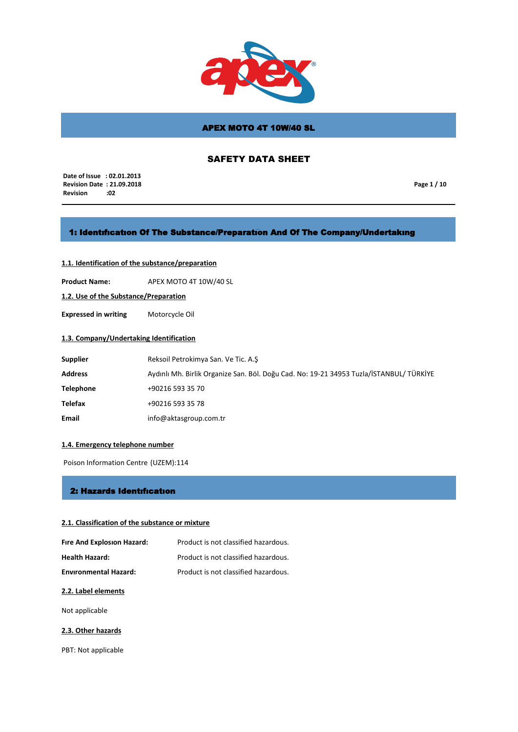

# SAFETY DATA SHEET

 **Date of Issue : 02.01.2013 Revision Date : 21.09.2018 Revision** 

**Page 1 / 10**

## 1: Identıfıcatıon Of The Substance/Preparatıon And Of The Company/Undertakıng

## **1.1. Identification of the substance/preparation**

**Product Name:** APEX MOTO 4T 10W/40 SL

**1.2. Use of the Substance/Preparation**

**Expressed in writing** Motorcycle Oil

## **1.3. Company/Undertaking Identification**

| <b>Supplier</b>  | Reksoil Petrokimya San. Ve Tic. A.S                                                     |
|------------------|-----------------------------------------------------------------------------------------|
| <b>Address</b>   | Aydınlı Mh. Birlik Organize San. Böl. Doğu Cad. No: 19-21 34953 Tuzla/İSTANBUL/ TÜRKİYE |
| <b>Telephone</b> | +90216 593 35 70                                                                        |
| Telefax          | +90216 593 35 78                                                                        |
| Email            | info@aktasgroup.com.tr                                                                  |

### **1.4. Emergency telephone number**

Poison Information Centre (UZEM):114

### 2: Hazards Identıfıcatıon

### **2.1. Classification of the substance or mixture**

| Fire And Explosion Hazard:   | Product is not classified hazardous. |
|------------------------------|--------------------------------------|
| <b>Health Hazard:</b>        | Product is not classified hazardous. |
| <b>Environmental Hazard:</b> | Product is not classified hazardous. |

### **2.2. Label elements**

Not applicable

### **2.3. Other hazards**

PBT: Not applicable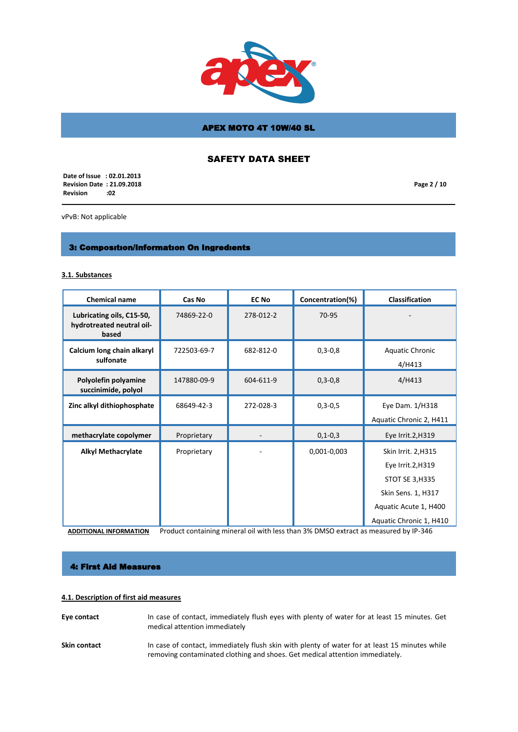

# SAFETY DATA SHEET

 **Date of Issue : 02.01.2013 Revision Date : 21.09.2018 Revision :02**

**Page 2 / 10**

vPvB: Not applicable

# 3: Composıtıon/Informatıon On Ingredıents

#### **3.1. Substances**

| <b>Chemical name</b>                                            | Cas No      | <b>EC No</b> | Concentration(%) | <b>Classification</b>                                                                                                                        |
|-----------------------------------------------------------------|-------------|--------------|------------------|----------------------------------------------------------------------------------------------------------------------------------------------|
| Lubricating oils, C15-50,<br>hydrotreated neutral oil-<br>based | 74869-22-0  | 278-012-2    | 70-95            |                                                                                                                                              |
| Calcium long chain alkaryl<br>sulfonate                         | 722503-69-7 | 682-812-0    | $0, 3 - 0, 8$    | Aquatic Chronic<br>4/H413                                                                                                                    |
| Polyolefin polyamine<br>succinimide, polyol                     | 147880-09-9 | 604-611-9    | $0, 3 - 0, 8$    | $4/$ H413                                                                                                                                    |
| Zinc alkyl dithiophosphate                                      | 68649-42-3  | 272-028-3    | $0,3-0,5$        | Eye Dam. 1/H318<br>Aquatic Chronic 2, H411                                                                                                   |
| methacrylate copolymer                                          | Proprietary |              | $0, 1 - 0, 3$    | Eye Irrit.2, H319                                                                                                                            |
| <b>Alkyl Methacrylate</b>                                       | Proprietary |              | 0,001-0,003      | Skin Irrit. 2, H315<br>Eye Irrit.2, H319<br><b>STOT SE 3, H335</b><br>Skin Sens. 1, H317<br>Aquatic Acute 1, H400<br>Aquatic Chronic 1, H410 |

**ADDITIONAL INFORMATION** Product containing mineral oil with less than 3% DMSO extract as measured by IP-346

## 4: First Aid Measures

### **4.1. Description of first aid measures**

**Eye contact** In case of contact, immediately flush eyes with plenty of water for at least 15 minutes. Get medical attention immediately Skin contact In case of contact, immediately flush skin with plenty of water for at least 15 minutes while removing contaminated clothing and shoes. Get medical attention immediately.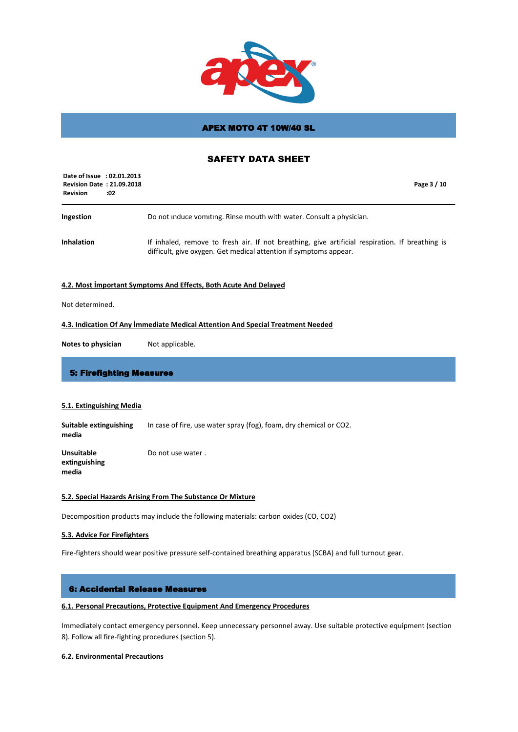

## SAFETY DATA SHEET

| Date of Issue : 02.01.2013<br><b>Revision Date: 21.09.2018</b><br><b>Revision</b><br>:02 | Page 3 / 10                                                                                                                                                          |
|------------------------------------------------------------------------------------------|----------------------------------------------------------------------------------------------------------------------------------------------------------------------|
| Ingestion                                                                                | Do not induce vomiting. Rinse mouth with water. Consult a physician.                                                                                                 |
| <b>Inhalation</b>                                                                        | If inhaled, remove to fresh air. If not breathing, give artificial respiration. If breathing is<br>difficult, give oxygen. Get medical attention if symptoms appear. |

### **4.2. Most İmportant Symptoms And Effects, Both Acute And Delayed**

Not determined.

#### **4.3. Indication Of Any İmmediate Medical Attention And Special Treatment Needed**

**Notes to physician** Not applicable.

### 5: Firefighting Measures

### **5.1. Extinguishing Media**

**Suitable extinguishing** In case of fire, use water spray (fog), foam, dry chemical or CO2. **media**

**Unsuitable extinguishing media** Do not use water .

#### **5.2. Special Hazards Arising From The Substance Or Mixture**

Decomposition products may include the following materials: carbon oxides (CO, CO2)

### **5.3. Advice For Firefighters**

Fire-fighters should wear positive pressure self-contained breathing apparatus (SCBA) and full turnout gear.

### 6: Accidental Release Measures

### **6.1. Personal Precautions, Protective Equipment And Emergency Procedures**

Immediately contact emergency personnel. Keep unnecessary personnel away. Use suitable protective equipment (section 8). Follow all fire-fighting procedures (section 5).

### **6.2. Environmental Precautions**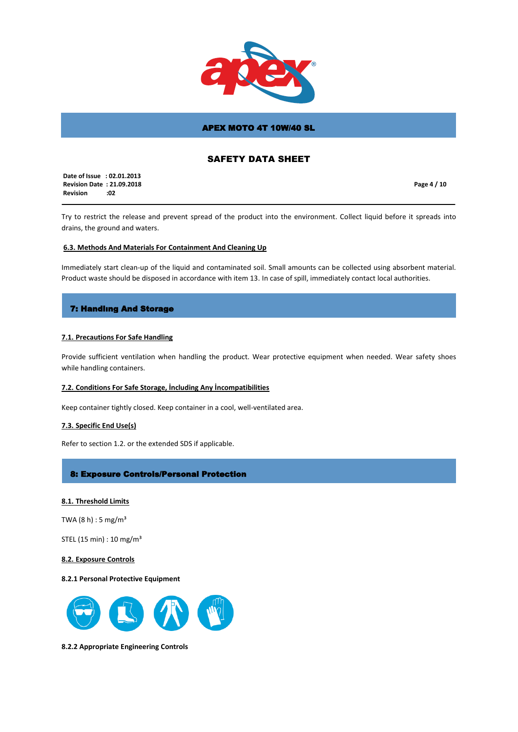

# SAFETY DATA SHEET

 **Date of Issue : 02.01.2013 Revision Date : 21.09.2018 Revision :02**

**Page 4 / 10**

Try to restrict the release and prevent spread of the product into the environment. Collect liquid before it spreads into drains, the ground and waters.

### **6.3. Methods And Materials For Containment And Cleaning Up**

Immediately start clean-up of the liquid and contaminated soil. Small amounts can be collected using absorbent material. Product waste should be disposed in accordance with item 13. In case of spill, immediately contact local authorities.

## 7: Handlıng And Storage

### **7.1. Precautions For Safe Handling**

Provide sufficient ventilation when handling the product. Wear protective equipment when needed. Wear safety shoes while handling containers.

#### **7.2. Conditions For Safe Storage, İncluding Any İncompatibilities**

Keep container tightly closed. Keep container in a cool, well-ventilated area.

#### **7.3. Specific End Use(s)**

Refer to section 1.2. or the extended SDS if applicable.

## 8: Exposure Controls/Personal Protection

### **8.1. Threshold Limits**

TWA  $(8 h) : 5 mg/m<sup>3</sup>$ 

STEL (15 min) : 10 mg/m³

#### **8.2. Exposure Controls**

### **8.2.1 Personal Protective Equipment**



**8.2.2 Appropriate Engineering Controls**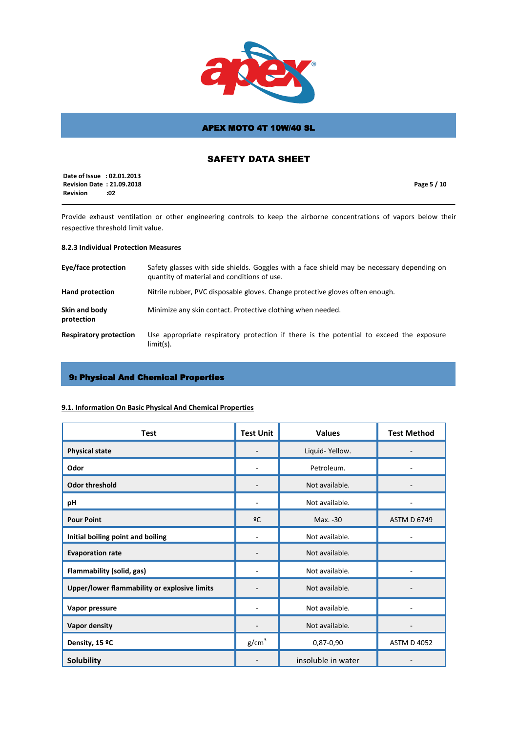

# SAFETY DATA SHEET

|                 | Date of Issue : 02.01.2013       |             |  |
|-----------------|----------------------------------|-------------|--|
|                 | <b>Revision Date: 21.09.2018</b> | Page 5 / 10 |  |
| <b>Revision</b> | :02                              |             |  |

Provide exhaust ventilation or other engineering controls to keep the airborne concentrations of vapors below their respective threshold limit value.

# **8.2.3 Individual Protection Measures**

| Eye/face protection           | Safety glasses with side shields. Goggles with a face shield may be necessary depending on<br>quantity of material and conditions of use. |
|-------------------------------|-------------------------------------------------------------------------------------------------------------------------------------------|
| <b>Hand protection</b>        | Nitrile rubber, PVC disposable gloves. Change protective gloves often enough.                                                             |
| Skin and body<br>protection   | Minimize any skin contact. Protective clothing when needed.                                                                               |
| <b>Respiratory protection</b> | Use appropriate respiratory protection if there is the potential to exceed the exposure<br>$limit(s)$ .                                   |

# 9: Physical And Chemical Properties

## **9.1. Information On Basic Physical And Chemical Properties**

| <b>Test</b>                                  | <b>Test Unit</b>  | <b>Values</b>      | <b>Test Method</b> |
|----------------------------------------------|-------------------|--------------------|--------------------|
| <b>Physical state</b>                        |                   | Liquid-Yellow.     |                    |
| Odor                                         |                   | Petroleum.         |                    |
| <b>Odor threshold</b>                        |                   | Not available.     |                    |
| pH                                           |                   | Not available.     |                    |
| <b>Pour Point</b>                            | ºC                | Max. -30           | <b>ASTM D 6749</b> |
| Initial boiling point and boiling            |                   | Not available.     |                    |
| <b>Evaporation rate</b>                      |                   | Not available.     |                    |
| Flammability (solid, gas)                    |                   | Not available.     |                    |
| Upper/lower flammability or explosive limits |                   | Not available.     |                    |
| Vapor pressure                               |                   | Not available.     |                    |
| <b>Vapor density</b>                         |                   | Not available.     |                    |
| Density, 15 ºC                               | g/cm <sup>3</sup> | 0,87-0,90          | <b>ASTM D 4052</b> |
| <b>Solubility</b>                            |                   | insoluble in water |                    |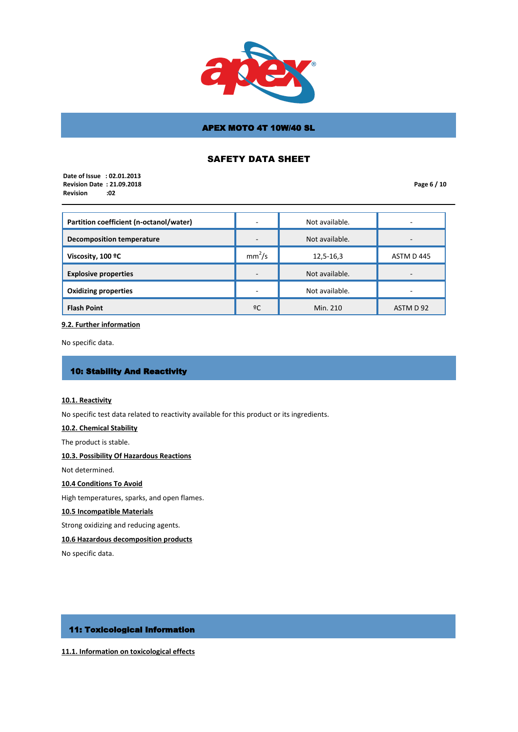

# SAFETY DATA SHEET

 **Date of Issue : 02.01.2013 Revision Date : 21.09.2018 Revision :02**

**Page 6 / 10**

| Partition coefficient (n-octanol/water) | $\overline{\phantom{0}}$ | Not available. | -                        |
|-----------------------------------------|--------------------------|----------------|--------------------------|
| <b>Decomposition temperature</b>        | $\overline{\phantom{a}}$ | Not available. |                          |
| Viscosity, 100 °C                       | mm <sup>2</sup> /s       | 12,5-16,3      | ASTM D 445               |
| <b>Explosive properties</b>             | $\overline{\phantom{a}}$ | Not available. |                          |
| <b>Oxidizing properties</b>             | $\overline{\phantom{0}}$ | Not available. | $\overline{\phantom{0}}$ |
| <b>Flash Point</b>                      | ºC                       | Min. 210       | ASTM D 92                |

#### **9.2. Further information**

No specific data.

# 10: Stability And Reactivity

### **10.1. Reactivity**

No specific test data related to reactivity available for this product or its ingredients.

## **10.2. Chemical Stability**

The product is stable.

## **10.3. Possibility Of Hazardous Reactions**

Not determined.

**10.4 Conditions To Avoid**

High temperatures, sparks, and open flames.

### **10.5 Incompatible Materials**

Strong oxidizing and reducing agents.

## **10.6 Hazardous decomposition products**

No specific data.

# 11: Toxicological Information

**11.1. Information on toxicological effects**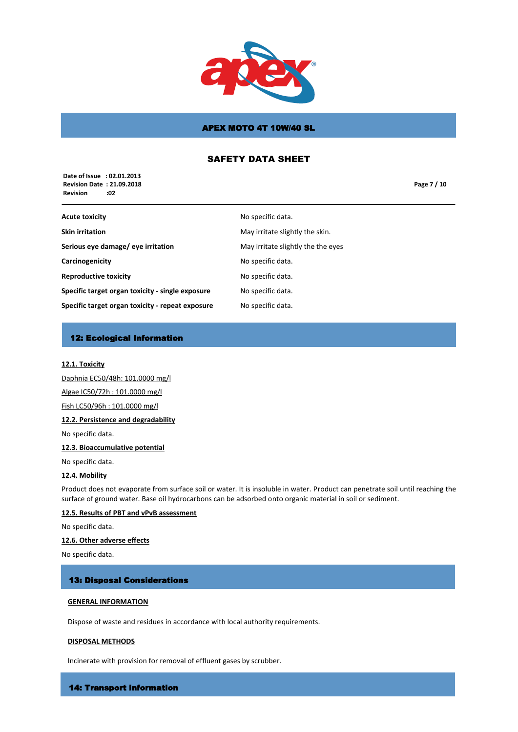

# SAFETY DATA SHEET

 **Date of Issue : 02.01.2013 Revision Date : 21.09.2018 Revision :02**

**Page 7 / 10**

| Acute toxicity                                   | No specific data.                  |
|--------------------------------------------------|------------------------------------|
| Skin irritation                                  | May irritate slightly the skin.    |
| Serious eye damage/ eye irritation               | May irritate slightly the the eyes |
| Carcinogenicity                                  | No specific data.                  |
| <b>Reproductive toxicity</b>                     | No specific data.                  |
| Specific target organ toxicity - single exposure | No specific data.                  |
| Specific target organ toxicity - repeat exposure | No specific data.                  |
|                                                  |                                    |

# 12: Ecological Information

### **12.1. Toxicity**

Daphnia EC50/48h: 101.0000 mg/l Algae IC50/72h : 101.0000 mg/l Fish LC50/96h : 101.0000 mg/l

### **12.2. Persistence and degradability**

No specific data.

### **12.3. Bioaccumulative potential**

No specific data.

### **12.4. Mobility**

Product does not evaporate from surface soil or water. It is insoluble in water. Product can penetrate soil until reaching the surface of ground water. Base oil hydrocarbons can be adsorbed onto organic material in soil or sediment.

### **12.5. Results of PBT and vPvB assessment**

No specific data.

### **12.6. Other adverse effects**

No specific data.

### 13: Disposal Considerations

### **GENERAL INFORMATION**

Dispose of waste and residues in accordance with local authority requirements.

### **DISPOSAL METHODS**

Incinerate with provision for removal of effluent gases by scrubber.

#### 14: Transport information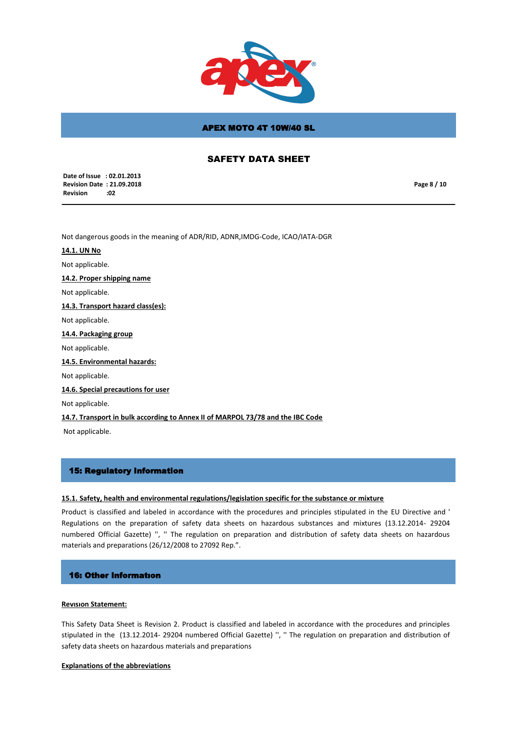

# SAFETY DATA SHEET

 **Date of Issue : 02.01.2013 Revision Date : 21.09.2018 Revision :02**

**Page 8 / 10**

Not dangerous goods in the meaning of ADR/RID, ADNR,IMDG-Code, ICAO/IATA-DGR

#### **14.1. UN No**

Not applicable.

**14.2. Proper shipping name**

Not applicable.

#### **14.3. Transport hazard class(es):**

Not applicable.

**14.4. Packaging group** 

Not applicable.

**14.5. Environmental hazards:**

Not applicable.

#### **14.6. Special precautions for user**

Not applicable.

### **14.7. Transport in bulk according to Annex II of MARPOL 73/78 and the IBC Code**

Not applicable.

### 15: Regulatory Information

### **15.1. Safety, health and environmental regulations/legislation specific for the substance or mixture**

Product is classified and labeled in accordance with the procedures and principles stipulated in the EU Directive and ' Regulations on the preparation of safety data sheets on hazardous substances and mixtures (13.12.2014- 29204 numbered Official Gazette) '', '' The regulation on preparation and distribution of safety data sheets on hazardous materials and preparations (26/12/2008 to 27092 Rep.".

### 16: Other Informatıon

#### **Revısıon Statement:**

This Safety Data Sheet is Revision 2. Product is classified and labeled in accordance with the procedures and principles stipulated in the (13.12.2014- 29204 numbered Official Gazette) '', '' The regulation on preparation and distribution of safety data sheets on hazardous materials and preparations

#### **Explanations of the abbreviations**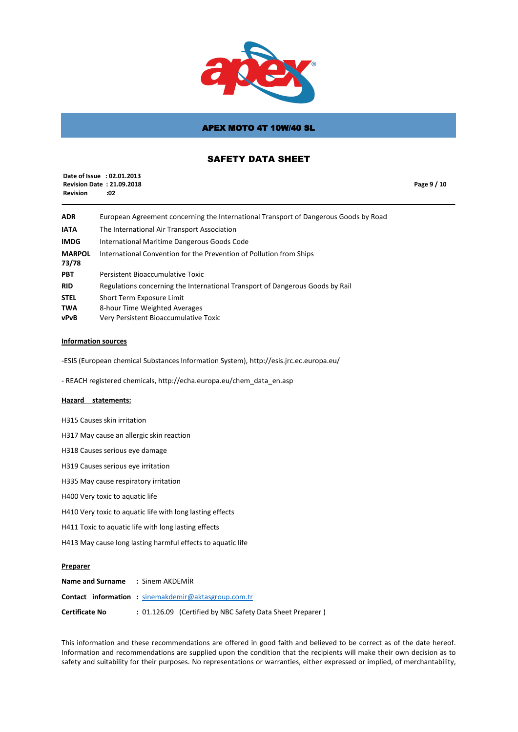

# SAFETY DATA SHEET

| <b>Revision</b> | Date of Issue : 02.01.2013<br><b>Revision Date: 21.09.2018</b><br>:02                | Page 9 / 10 |
|-----------------|--------------------------------------------------------------------------------------|-------------|
| <b>ADR</b>      | European Agreement concerning the International Transport of Dangerous Goods by Road |             |
| <b>IATA</b>     | The International Air Transport Association                                          |             |

| <b>IMDG</b>            | International Maritime Dangerous Goods Code                         |
|------------------------|---------------------------------------------------------------------|
| <b>MARPOL</b><br>73/78 | International Convention for the Prevention of Pollution from Ships |

**PBT** Persistent Bioaccumulative Toxic **RID** Regulations concerning the International Transport of Dangerous Goods by Rail **STEL** Short Term Exposure Limit **TWA** 8-hour Time Weighted Averages

**vPvB** Very Persistent Bioaccumulative Toxic

### **Information sources**

-ESIS (European chemical Substances Information System), http://esis.jrc.ec.europa.eu/

- REACH registered chemicals, http://echa.europa.eu/chem\_data\_en.asp

### **Hazard statements:**

H315 Causes skin irritation

H317 May cause an allergic skin reaction

H318 Causes serious eye damage

H319 Causes serious eye irritation

H335 May cause respiratory irritation

H400 Very toxic to aquatic life

H410 Very toxic to aquatic life with long lasting effects

H411 Toxic to aquatic life with long lasting effects

H413 May cause long lasting harmful effects to aquatic life

#### **Preparer**

| <b>Name and Surname : Sinem AKDEMIR</b> |                                                            |
|-----------------------------------------|------------------------------------------------------------|
|                                         | <b>Contact information:</b> sinemakdemir@aktasgroup.com.tr |
| <b>Certificate No</b>                   | : 01.126.09 (Certified by NBC Safety Data Sheet Preparer)  |

This information and these recommendations are offered in good faith and believed to be correct as of the date hereof. Information and recommendations are supplied upon the condition that the recipients will make their own decision as to safety and suitability for their purposes. No representations or warranties, either expressed or implied, of merchantability,